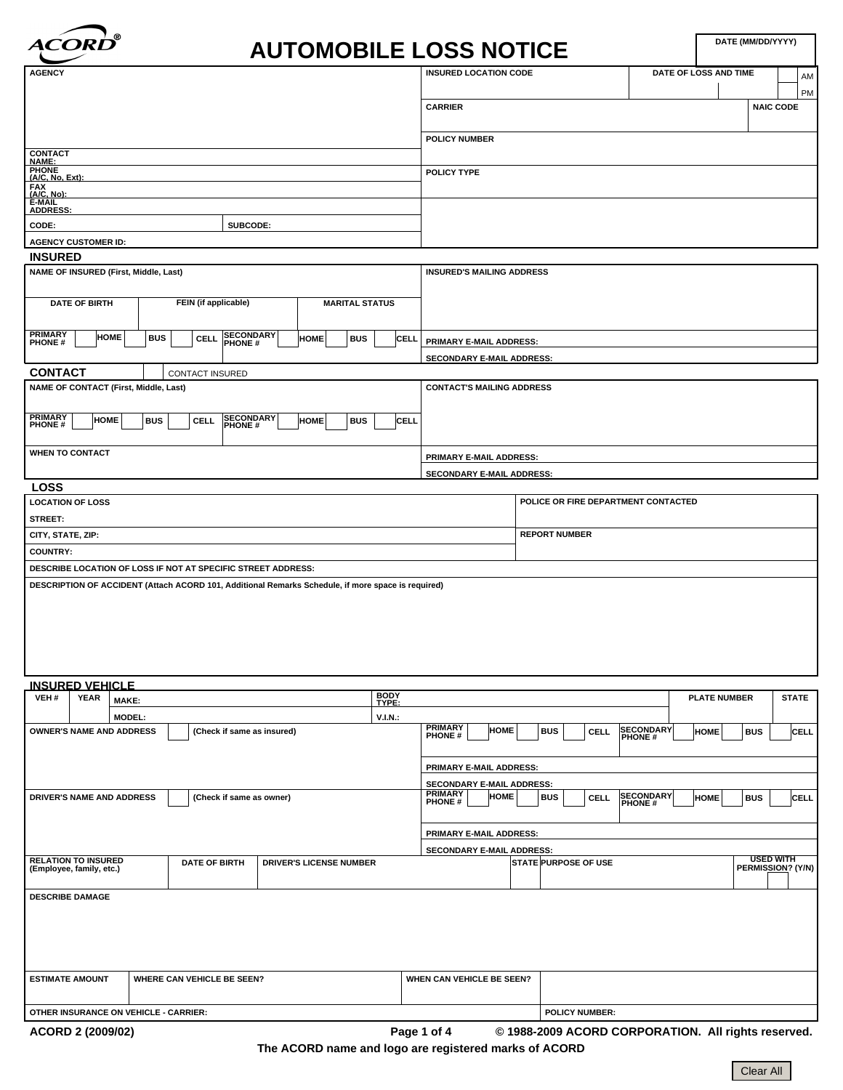

|                                                                                                                  | <i><b>ACORD</b></i>                                                                                |                                                  |                                     | <b>AUTOMOBILE LOSS NOTICE</b> |                              |                                                               |                                  |                         |  |            |                       |                                                     |             |                     | DATE (MM/DD/YYYY) |              |      |
|------------------------------------------------------------------------------------------------------------------|----------------------------------------------------------------------------------------------------|--------------------------------------------------|-------------------------------------|-------------------------------|------------------------------|---------------------------------------------------------------|----------------------------------|-------------------------|--|------------|-----------------------|-----------------------------------------------------|-------------|---------------------|-------------------|--------------|------|
| <b>AGENCY</b>                                                                                                    |                                                                                                    |                                                  |                                     |                               | <b>INSURED LOCATION CODE</b> |                                                               |                                  |                         |  |            | DATE OF LOSS AND TIME |                                                     |             |                     | AM                |              |      |
|                                                                                                                  |                                                                                                    |                                                  |                                     |                               | <b>CARRIER</b>               |                                                               |                                  |                         |  |            |                       |                                                     |             | <b>NAIC CODE</b>    | PM                |              |      |
|                                                                                                                  |                                                                                                    |                                                  |                                     |                               | <b>POLICY NUMBER</b>         |                                                               |                                  |                         |  |            |                       |                                                     |             |                     |                   |              |      |
| <b>CONTACT</b><br><u>NAME:</u>                                                                                   |                                                                                                    |                                                  |                                     |                               |                              |                                                               |                                  |                         |  |            |                       |                                                     |             |                     |                   |              |      |
| <b>PHONE</b><br>(A/C, No, Ext):                                                                                  |                                                                                                    |                                                  |                                     |                               |                              |                                                               | POLICY TYPE                      |                         |  |            |                       |                                                     |             |                     |                   |              |      |
| <b>FAX</b><br>(A/C, No):<br><b>E-MAIL</b>                                                                        |                                                                                                    |                                                  |                                     |                               |                              |                                                               |                                  |                         |  |            |                       |                                                     |             |                     |                   |              |      |
| <b>ADDRESS:</b>                                                                                                  |                                                                                                    |                                                  |                                     |                               |                              |                                                               |                                  |                         |  |            |                       |                                                     |             |                     |                   |              |      |
| CODE:<br>SUBCODE:                                                                                                |                                                                                                    |                                                  |                                     |                               |                              |                                                               |                                  |                         |  |            |                       |                                                     |             |                     |                   |              |      |
| <b>INSURED</b>                                                                                                   | <b>AGENCY CUSTOMER ID:</b>                                                                         |                                                  |                                     |                               |                              |                                                               |                                  |                         |  |            |                       |                                                     |             |                     |                   |              |      |
|                                                                                                                  |                                                                                                    | NAME OF INSURED (First, Middle, Last)            |                                     |                               |                              |                                                               | <b>INSURED'S MAILING ADDRESS</b> |                         |  |            |                       |                                                     |             |                     |                   |              |      |
|                                                                                                                  | <b>DATE OF BIRTH</b>                                                                               |                                                  | FEIN (if applicable)                | <b>MARITAL STATUS</b>         |                              |                                                               |                                  |                         |  |            |                       |                                                     |             |                     |                   |              |      |
| <b>PRIMARY</b><br>PHONE #                                                                                        |                                                                                                    | <b>HOME</b><br><b>BUS</b>                        | SECONDARY<br>PHONE #<br>CELL        | <b>BUS</b><br><b>HOME</b>     |                              | <b>CELL</b>                                                   | PRIMARY E-MAIL ADDRESS:          |                         |  |            |                       |                                                     |             |                     |                   |              |      |
|                                                                                                                  |                                                                                                    |                                                  |                                     |                               |                              |                                                               | SECONDARY E-MAIL ADDRESS:        |                         |  |            |                       |                                                     |             |                     |                   |              |      |
| <b>CONTACT</b>                                                                                                   |                                                                                                    | NAME OF CONTACT (First, Middle, Last)            | CONTACT INSURED                     |                               |                              |                                                               | <b>CONTACT'S MAILING ADDRESS</b> |                         |  |            |                       |                                                     |             |                     |                   |              |      |
|                                                                                                                  |                                                                                                    |                                                  |                                     |                               |                              |                                                               |                                  |                         |  |            |                       |                                                     |             |                     |                   |              |      |
| <b>PRIMARY</b><br><b>PHONE#</b>                                                                                  |                                                                                                    | <b>HOME</b><br><b>BUS</b>                        | <b>SECONDARY</b><br>PHONE #<br>CELL | <b>HOME</b><br><b>BUS</b>     |                              | CELL                                                          |                                  |                         |  |            |                       |                                                     |             |                     |                   |              |      |
|                                                                                                                  | <b>WHEN TO CONTACT</b>                                                                             |                                                  |                                     |                               |                              |                                                               |                                  | PRIMARY E-MAIL ADDRESS: |  |            |                       |                                                     |             |                     |                   |              |      |
|                                                                                                                  |                                                                                                    |                                                  |                                     |                               |                              |                                                               | <b>SECONDARY E-MAIL ADDRESS:</b> |                         |  |            |                       |                                                     |             |                     |                   |              |      |
| <b>LOSS</b>                                                                                                      | <b>LOCATION OF LOSS</b>                                                                            |                                                  |                                     |                               |                              |                                                               |                                  |                         |  |            |                       | POLICE OR FIRE DEPARTMENT CONTACTED                 |             |                     |                   |              |      |
| STREET:                                                                                                          |                                                                                                    |                                                  |                                     |                               |                              |                                                               |                                  |                         |  |            |                       |                                                     |             |                     |                   |              |      |
|                                                                                                                  | CITY, STATE, ZIP:                                                                                  |                                                  |                                     |                               |                              |                                                               |                                  | <b>REPORT NUMBER</b>    |  |            |                       |                                                     |             |                     |                   |              |      |
| <b>COUNTRY:</b>                                                                                                  |                                                                                                    |                                                  |                                     |                               |                              |                                                               |                                  |                         |  |            |                       |                                                     |             |                     |                   |              |      |
|                                                                                                                  | DESCRIBE LOCATION OF LOSS IF NOT AT SPECIFIC STREET ADDRESS:                                       |                                                  |                                     |                               |                              |                                                               |                                  |                         |  |            |                       |                                                     |             |                     |                   |              |      |
|                                                                                                                  | DESCRIPTION OF ACCIDENT (Attach ACORD 101, Additional Remarks Schedule, if more space is required) |                                                  |                                     |                               |                              |                                                               |                                  |                         |  |            |                       |                                                     |             |                     |                   |              |      |
|                                                                                                                  |                                                                                                    |                                                  |                                     |                               |                              |                                                               |                                  |                         |  |            |                       |                                                     |             |                     |                   |              |      |
|                                                                                                                  |                                                                                                    |                                                  |                                     |                               |                              |                                                               |                                  |                         |  |            |                       |                                                     |             |                     |                   |              |      |
|                                                                                                                  |                                                                                                    |                                                  |                                     |                               |                              |                                                               |                                  |                         |  |            |                       |                                                     |             |                     |                   |              |      |
|                                                                                                                  |                                                                                                    |                                                  |                                     |                               |                              |                                                               |                                  |                         |  |            |                       |                                                     |             |                     |                   |              |      |
| VEH#                                                                                                             | <b>INSURED VEHICLE</b><br><b>YEAR</b>                                                              |                                                  |                                     |                               |                              |                                                               |                                  |                         |  |            |                       |                                                     |             | <b>PLATE NUMBER</b> |                   | <b>STATE</b> |      |
|                                                                                                                  |                                                                                                    | MAKE:                                            |                                     |                               | BODY<br>TYPE:                |                                                               |                                  |                         |  |            |                       |                                                     |             |                     |                   |              |      |
|                                                                                                                  |                                                                                                    | <b>MODEL:</b><br><b>OWNER'S NAME AND ADDRESS</b> | (Check if same as insured)          |                               | V.I.N.                       |                                                               | PRIMARY<br><b>PHONE#</b>         | <b>HOME</b>             |  | <b>BUS</b> | CELL                  | <b>SECONDARY</b><br>PHONE #                         | <b>HOME</b> |                     | <b>BUS</b>        |              | CELL |
|                                                                                                                  |                                                                                                    |                                                  |                                     |                               |                              |                                                               |                                  |                         |  |            |                       |                                                     |             |                     |                   |              |      |
|                                                                                                                  |                                                                                                    |                                                  |                                     |                               |                              |                                                               | PRIMARY E-MAIL ADDRESS:          |                         |  |            |                       |                                                     |             |                     |                   |              |      |
|                                                                                                                  |                                                                                                    |                                                  |                                     |                               |                              |                                                               | SECONDARY E-MAIL ADDRESS:        |                         |  |            |                       |                                                     |             |                     |                   |              |      |
|                                                                                                                  |                                                                                                    | DRIVER'S NAME AND ADDRESS                        | (Check if same as owner)            |                               |                              |                                                               | <b>PRIMARY</b><br>PHONE #        | <b>HOME</b>             |  | <b>BUS</b> | CELL                  | <b>SECONDARY</b><br>PHONE #                         | <b>HOME</b> |                     | <b>BUS</b>        |              | CELL |
|                                                                                                                  |                                                                                                    |                                                  |                                     |                               |                              |                                                               | PRIMARY E-MAIL ADDRESS:          |                         |  |            |                       |                                                     |             |                     |                   |              |      |
|                                                                                                                  |                                                                                                    |                                                  |                                     |                               |                              |                                                               | SECONDARY E-MAIL ADDRESS:        |                         |  |            |                       |                                                     |             |                     |                   |              |      |
| <b>RELATION TO INSURED</b><br><b>DATE OF BIRTH</b><br><b>DRIVER'S LICENSE NUMBER</b><br>(Employee, family, etc.) |                                                                                                    |                                                  |                                     |                               |                              | <b>USED WITH</b><br>STATE PURPOSE OF USE<br>PERMISSION? (Y/N) |                                  |                         |  |            |                       |                                                     |             |                     |                   |              |      |
| <b>DESCRIBE DAMAGE</b>                                                                                           |                                                                                                    |                                                  |                                     |                               |                              |                                                               |                                  |                         |  |            |                       |                                                     |             |                     |                   |              |      |
|                                                                                                                  |                                                                                                    |                                                  |                                     |                               |                              |                                                               |                                  |                         |  |            |                       |                                                     |             |                     |                   |              |      |
|                                                                                                                  |                                                                                                    |                                                  |                                     |                               |                              |                                                               |                                  |                         |  |            |                       |                                                     |             |                     |                   |              |      |
|                                                                                                                  |                                                                                                    |                                                  |                                     |                               |                              |                                                               |                                  |                         |  |            |                       |                                                     |             |                     |                   |              |      |
|                                                                                                                  | <b>ESTIMATE AMOUNT</b>                                                                             |                                                  | WHERE CAN VEHICLE BE SEEN?          |                               |                              |                                                               | WHEN CAN VEHICLE BE SEEN?        |                         |  |            |                       |                                                     |             |                     |                   |              |      |
|                                                                                                                  |                                                                                                    |                                                  |                                     |                               |                              |                                                               |                                  |                         |  |            |                       |                                                     |             |                     |                   |              |      |
|                                                                                                                  |                                                                                                    | OTHER INSURANCE ON VEHICLE - CARRIER:            |                                     |                               |                              |                                                               |                                  |                         |  |            | POLICY NUMBER:        |                                                     |             |                     |                   |              |      |
|                                                                                                                  | ACORD 2 (2009/02)                                                                                  |                                                  |                                     |                               |                              |                                                               | Page 1 of 4                      |                         |  |            |                       | © 1988-2009 ACORD CORPORATION. All rights reserved. |             |                     |                   |              |      |

**The ACORD name and logo are registered marks of ACORD**

Clear All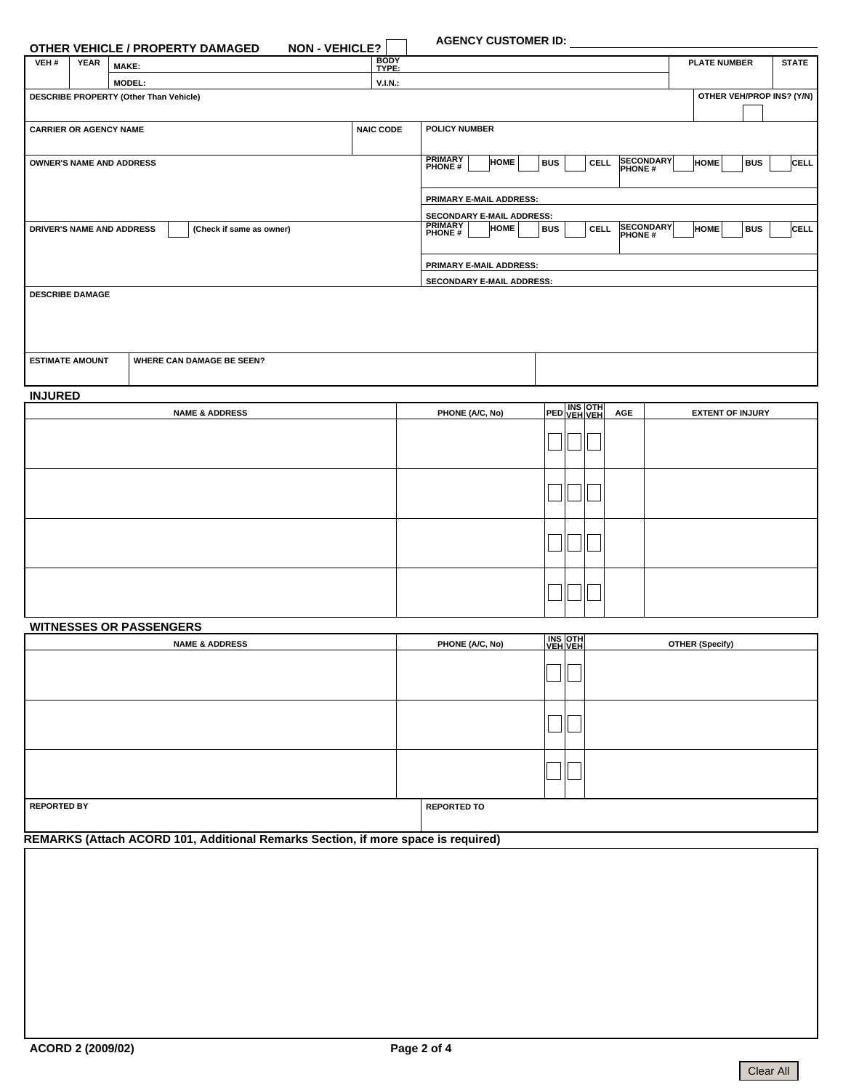#### **AGENCY CUSTOMER ID:**

|                                                              |             | <b>NON - VEHICLE?</b><br>OTHER VEHICLE / PROPERTY DAMAGED |                                                |                      | <b>AGENCY CUSTOMER ID:</b>                     |                           |            |                     |            |              |  |  |  |  |  |
|--------------------------------------------------------------|-------------|-----------------------------------------------------------|------------------------------------------------|----------------------|------------------------------------------------|---------------------------|------------|---------------------|------------|--------------|--|--|--|--|--|
| VEH#                                                         | <b>YEAR</b> | <b>MAKE:</b>                                              |                                                | <b>BODY</b><br>TYPE: |                                                |                           |            | <b>PLATE NUMBER</b> |            | <b>STATE</b> |  |  |  |  |  |
|                                                              |             | <b>MODEL:</b>                                             |                                                | $V.I.N.$ :           |                                                |                           |            |                     |            |              |  |  |  |  |  |
|                                                              |             | DESCRIBE PROPERTY (Other Than Vehicle)                    |                                                |                      |                                                | OTHER VEH/PROP INS? (Y/N) |            |                     |            |              |  |  |  |  |  |
| <b>CARRIER OR AGENCY NAME</b>                                |             |                                                           | <b>POLICY NUMBER</b>                           |                      |                                                |                           |            |                     |            |              |  |  |  |  |  |
|                                                              |             | <b>OWNER'S NAME AND ADDRESS</b>                           | <b>PRIMARY</b><br><b>HOME</b><br><b>PHONE#</b> | <b>BUS</b><br>CELL   | SECONDARY                                      | <b>HOME</b>               | <b>BUS</b> | CELL                |            |              |  |  |  |  |  |
|                                                              |             |                                                           |                                                |                      | <b>PRIMARY E-MAIL ADDRESS:</b>                 |                           |            |                     |            |              |  |  |  |  |  |
|                                                              |             |                                                           |                                                |                      | SECONDARY E-MAIL ADDRESS:                      |                           |            |                     |            |              |  |  |  |  |  |
| (Check if same as owner)<br><b>DRIVER'S NAME AND ADDRESS</b> |             |                                                           |                                                |                      | <b>PRIMARY</b><br><b>HOME</b><br><b>PHONE#</b> | <b>BUS</b><br><b>CELL</b> | SECONDARY  | <b>HOME</b>         | <b>BUS</b> | CELL         |  |  |  |  |  |
|                                                              |             |                                                           |                                                |                      | <b>PRIMARY E-MAIL ADDRESS:</b>                 |                           |            |                     |            |              |  |  |  |  |  |
|                                                              |             |                                                           |                                                |                      | SECONDARY E-MAIL ADDRESS:                      |                           |            |                     |            |              |  |  |  |  |  |
| <b>DESCRIBE DAMAGE</b>                                       |             |                                                           |                                                |                      |                                                |                           |            |                     |            |              |  |  |  |  |  |
| <b>ESTIMATE AMOUNT</b>                                       |             | <b>WHERE CAN DAMAGE BE SEEN?</b>                          |                                                |                      |                                                |                           |            |                     |            |              |  |  |  |  |  |

# **INJURED**

| <b>NAME &amp; ADDRESS</b> | <b>PHONE (A/C, No)</b> |  | PED VEH VEH | AGE | <b>EXTENT OF INJURY</b> |
|---------------------------|------------------------|--|-------------|-----|-------------------------|
|                           |                        |  |             |     |                         |
|                           |                        |  |             |     |                         |
|                           |                        |  |             |     |                         |
|                           |                        |  |             |     |                         |

# **WITNESSES OR PASSENGERS**

| <b>NAME &amp; ADDRESS</b> | PHONE (A/C, No)    | <b>INS OTH</b> | <b>OTHER (Specify)</b> |
|---------------------------|--------------------|----------------|------------------------|
|                           |                    |                |                        |
|                           |                    |                |                        |
|                           |                    |                |                        |
|                           |                    |                |                        |
|                           |                    |                |                        |
|                           |                    |                |                        |
|                           |                    |                |                        |
|                           |                    |                |                        |
|                           |                    |                |                        |
| <b>REPORTED BY</b>        | <b>REPORTED TO</b> |                |                        |
|                           |                    |                |                        |

**REMARKS (Attach ACORD 101, Additional Remarks Section, if more space is required)**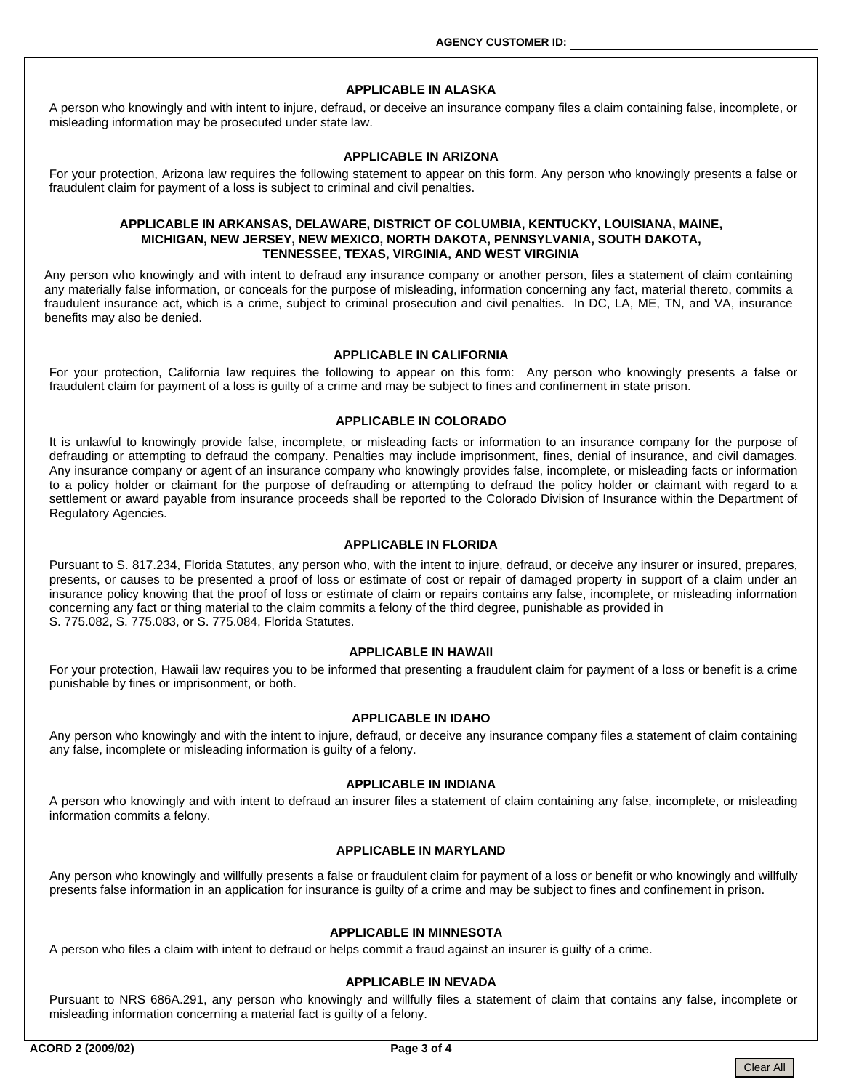#### **APPLICABLE IN ALASKA**

A person who knowingly and with intent to injure, defraud, or deceive an insurance company files a claim containing false, incomplete, or misleading information may be prosecuted under state law.

#### **APPLICABLE IN ARIZONA**

For your protection, Arizona law requires the following statement to appear on this form. Any person who knowingly presents a false or fraudulent claim for payment of a loss is subject to criminal and civil penalties.

#### **APPLICABLE IN ARKANSAS, DELAWARE, DISTRICT OF COLUMBIA, KENTUCKY, LOUISIANA, MAINE, MICHIGAN, NEW JERSEY, NEW MEXICO, NORTH DAKOTA, PENNSYLVANIA, SOUTH DAKOTA, TENNESSEE, TEXAS, VIRGINIA, AND WEST VIRGINIA**

Any person who knowingly and with intent to defraud any insurance company or another person, files a statement of claim containing any materially false information, or conceals for the purpose of misleading, information concerning any fact, material thereto, commits a fraudulent insurance act, which is a crime, subject to criminal prosecution and civil penalties. In DC, LA, ME, TN, and VA, insurance benefits may also be denied.

### **APPLICABLE IN CALIFORNIA**

For your protection, California law requires the following to appear on this form: Any person who knowingly presents a false or fraudulent claim for payment of a loss is guilty of a crime and may be subject to fines and confinement in state prison.

#### **APPLICABLE IN COLORADO**

It is unlawful to knowingly provide false, incomplete, or misleading facts or information to an insurance company for the purpose of defrauding or attempting to defraud the company. Penalties may include imprisonment, fines, denial of insurance, and civil damages. Any insurance company or agent of an insurance company who knowingly provides false, incomplete, or misleading facts or information to a policy holder or claimant for the purpose of defrauding or attempting to defraud the policy holder or claimant with regard to a settlement or award payable from insurance proceeds shall be reported to the Colorado Division of Insurance within the Department of Regulatory Agencies.

### **APPLICABLE IN FLORIDA**

Pursuant to S. 817.234, Florida Statutes, any person who, with the intent to injure, defraud, or deceive any insurer or insured, prepares, presents, or causes to be presented a proof of loss or estimate of cost or repair of damaged property in support of a claim under an insurance policy knowing that the proof of loss or estimate of claim or repairs contains any false, incomplete, or misleading information concerning any fact or thing material to the claim commits a felony of the third degree, punishable as provided in S. 775.082, S. 775.083, or S. 775.084, Florida Statutes.

# **APPLICABLE IN HAWAII**

For your protection, Hawaii law requires you to be informed that presenting a fraudulent claim for payment of a loss or benefit is a crime punishable by fines or imprisonment, or both.

#### **APPLICABLE IN IDAHO**

Any person who knowingly and with the intent to injure, defraud, or deceive any insurance company files a statement of claim containing any false, incomplete or misleading information is guilty of a felony.

#### **APPLICABLE IN INDIANA**

A person who knowingly and with intent to defraud an insurer files a statement of claim containing any false, incomplete, or misleading information commits a felony.

#### **APPLICABLE IN MARYLAND**

Any person who knowingly and willfully presents a false or fraudulent claim for payment of a loss or benefit or who knowingly and willfully presents false information in an application for insurance is guilty of a crime and may be subject to fines and confinement in prison.

#### **APPLICABLE IN MINNESOTA**

A person who files a claim with intent to defraud or helps commit a fraud against an insurer is guilty of a crime.

#### **APPLICABLE IN NEVADA**

Pursuant to NRS 686A.291, any person who knowingly and willfully files a statement of claim that contains any false, incomplete or misleading information concerning a material fact is guilty of a felony.